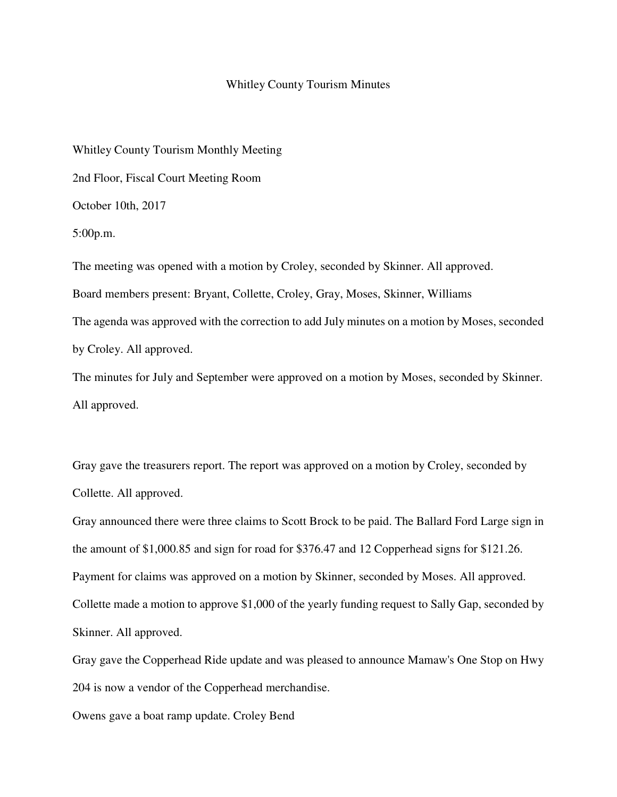## Whitley County Tourism Minutes

Whitley County Tourism Monthly Meeting 2nd Floor, Fiscal Court Meeting Room October 10th, 2017 5:00p.m. The meeting was opened with a motion by Croley, seconded by Skinner. All approved.

Board members present: Bryant, Collette, Croley, Gray, Moses, Skinner, Williams The agenda was approved with the correction to add July minutes on a motion by Moses, seconded by Croley. All approved.

The minutes for July and September were approved on a motion by Moses, seconded by Skinner. All approved.

Gray gave the treasurers report. The report was approved on a motion by Croley, seconded by Collette. All approved.

Gray announced there were three claims to Scott Brock to be paid. The Ballard Ford Large sign in the amount of \$1,000.85 and sign for road for \$376.47 and 12 Copperhead signs for \$121.26. Payment for claims was approved on a motion by Skinner, seconded by Moses. All approved. Collette made a motion to approve \$1,000 of the yearly funding request to Sally Gap, seconded by Skinner. All approved.

Gray gave the Copperhead Ride update and was pleased to announce Mamaw's One Stop on Hwy 204 is now a vendor of the Copperhead merchandise.

Owens gave a boat ramp update. Croley Bend